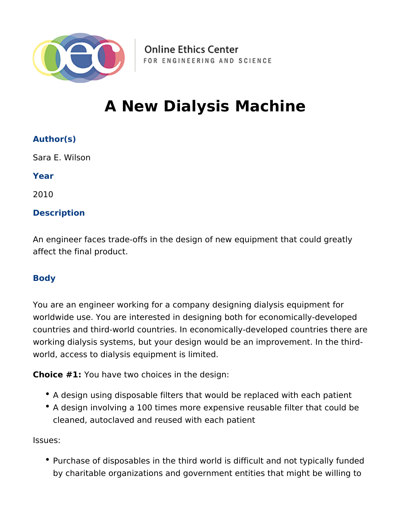

**Online Ethics Center** FOR ENGINEERING AND SCIENCE

# **A New Dialysis Machine**

### **Author(s)**

Sara E. Wilson

**Year**

2010

#### **Description**

An engineer faces trade-offs in the design of new equipment that could greatly affect the final product.

#### **Body**

You are an engineer working for a company designing dialysis equipment for worldwide use. You are interested in designing both for economically-developed countries and third-world countries. In economically-developed countries there are working dialysis systems, but your design would be an improvement. In the thirdworld, access to dialysis equipment is limited.

**Choice #1:** You have two choices in the design:

- A design using disposable filters that would be replaced with each patient
- A design involving a 100 times more expensive reusable filter that could be cleaned, autoclaved and reused with each patient

Issues:

• Purchase of disposables in the third world is difficult and not typically funded by charitable organizations and government entities that might be willing to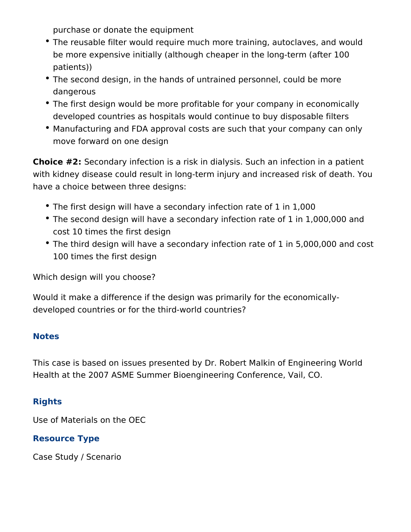purchase or donate the equipment

- The reusable filter would require much more training, autoclaves, and would be more expensive initially (although cheaper in the long-term (after 100 patients))
- The second design, in the hands of untrained personnel, could be more dangerous
- The first design would be more profitable for your company in economically developed countries as hospitals would continue to buy disposable filters
- Manufacturing and FDA approval costs are such that your company can only move forward on one design

**Choice #2:** Secondary infection is a risk in dialysis. Such an infection in a patient with kidney disease could result in long-term injury and increased risk of death. You have a choice between three designs:

- The first design will have a secondary infection rate of 1 in 1,000
- The second design will have a secondary infection rate of 1 in 1,000,000 and cost 10 times the first design
- The third design will have a secondary infection rate of 1 in 5,000,000 and cost 100 times the first design

Which design will you choose?

Would it make a difference if the design was primarily for the economicallydeveloped countries or for the third-world countries?

#### **Notes**

This case is based on issues presented by Dr. Robert Malkin of Engineering World Health at the 2007 ASME Summer Bioengineering Conference, Vail, CO.

## **Rights**

Use of Materials on the OEC

## **Resource Type**

Case Study / Scenario